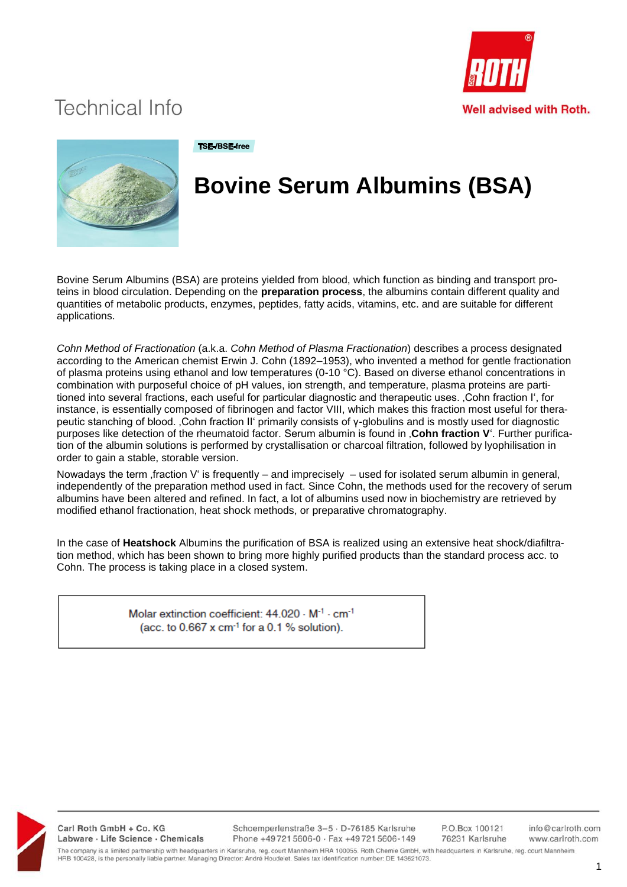



#### **TSE-/BSE-free**

# **Bovine Serum Albumins (BSA)**

Bovine Serum Albumins (BSA) are proteins yielded from blood, which function as binding and transport proteins in blood circulation. Depending on the **preparation process**, the albumins contain different quality and quantities of metabolic products, enzymes, peptides, fatty acids, vitamins, etc. and are suitable for different applications.

*Cohn Method of Fractionation* (a.k.a. *Cohn Method of Plasma Fractionation*) describes a process designated according to the American chemist Erwin J. Cohn (1892–1953), who invented a method for gentle fractionation of plasma proteins using ethanol and low temperatures (0-10  $^{\circ}$ C). Based on diverse ethanol concentrations in combination with purposeful choice of pH values, ion strength, and temperature, plasma proteins are partitioned into several fractions, each useful for particular diagnostic and therapeutic uses. , Cohn fraction I', for instance, is essentially composed of fibrinogen and factor VIII, which makes this fraction most useful for therapeutic stanching of blood. 'Cohn fraction II' primarily consists of γ-globulins and is mostly used for diagnostic purposes like detection of the rheumatoid factor. Serum albumin is found in , **Cohn fraction V**'. Further purification of the albumin solutions is performed by crystallisation or charcoal filtration, followed by lyophilisation in order to gain a stable, storable version.

Nowadays the term , fraction V' is frequently – and imprecisely – used for isolated serum albumin in general, independently of the preparation method used in fact. Since Cohn, the methods used for the recovery of serum albumins have been altered and refined. In fact, a lot of albumins used now in biochemistry are retrieved by modified ethanol fractionation, heat shock methods, or preparative chromatography.

In the case of **Heatshock** Albumins the purification of BSA is realized using an extensive heat shock/diafiltration method, which has been shown to bring more highly purified products than the standard process acc. to Cohn. The process is taking place in a closed system.

> Molar extinction coefficient: 44.020 - M<sup>-1</sup> - cm<sup>-1</sup> (acc. to  $0.667$  x cm<sup>-1</sup> for a 0.1 % solution).



Carl Roth GmbH + Co. KG Labware · Life Science · Chemicals Schoemperlenstraße 3-5 · D-76185 Karlsruhe Phone +49721 5606-0 · Fax +49721 5606-149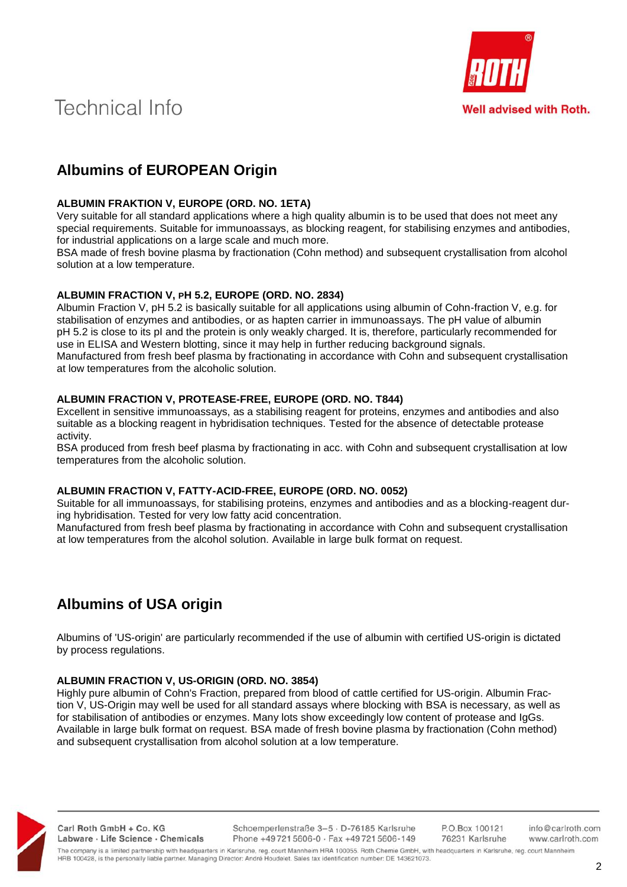

# **Albumins of EUROPEAN Origin**

### **ALBUMIN FRAKTION V, EUROPE (ORD. NO. 1ETA)**

Very suitable for all standard applications where a high quality albumin is to be used that does not meet any special requirements. Suitable for immunoassays, as blocking reagent, for stabilising enzymes and antibodies, for industrial applications on a large scale and much more.

BSA made of fresh bovine plasma by fractionation (Cohn method) and subsequent crystallisation from alcohol solution at a low temperature.

#### **ALBUMIN FRACTION V, PH 5.2, EUROPE (ORD. NO. 2834)**

Albumin Fraction V, pH 5.2 is basically suitable for all applications using albumin of Cohn-fraction V, e.g. for stabilisation of enzymes and antibodies, or as hapten carrier in immunoassays. The pH value of albumin pH 5.2 is close to its pI and the protein is only weakly charged. It is, therefore, particularly recommended for use in ELISA and Western blotting, since it may help in further reducing background signals. Manufactured from fresh beef plasma by fractionating in accordance with Cohn and subsequent crystallisation at low temperatures from the alcoholic solution.

#### **ALBUMIN FRACTION V, PROTEASE-FREE, EUROPE (ORD. NO. T844)**

Excellent in sensitive immunoassays, as a stabilising reagent for proteins, enzymes and antibodies and also suitable as a blocking reagent in hybridisation techniques. Tested for the absence of detectable protease activity.

BSA produced from fresh beef plasma by fractionating in acc. with Cohn and subsequent crystallisation at low temperatures from the alcoholic solution.

#### **ALBUMIN FRACTION V, FATTY-ACID-FREE, EUROPE (ORD. NO. 0052)**

Suitable for all immunoassays, for stabilising proteins, enzymes and antibodies and as a blocking-reagent during hybridisation. Tested for very low fatty acid concentration.

Manufactured from fresh beef plasma by fractionating in accordance with Cohn and subsequent crystallisation at low temperatures from the alcohol solution. Available in large bulk format on request.

# **Albumins of USA origin**

Albumins of 'US-origin' are particularly recommended if the use of albumin with certified US-origin is dictated by process regulations.

#### **ALBUMIN FRACTION V, US-ORIGIN (ORD. NO. 3854)**

Highly pure albumin of Cohn's Fraction, prepared from blood of cattle certified for US-origin. Albumin Fraction V, US-Origin may well be used for all standard assays where blocking with BSA is necessary, as well as for stabilisation of antibodies or enzymes. Many lots show exceedingly low content of protease and IgGs. Available in large bulk format on request. BSA made of fresh bovine plasma by fractionation (Cohn method) and subsequent crystallisation from alcohol solution at a low temperature.



Carl Roth GmbH + Co. KG Labware · Life Science · Chemicals Schoemperlenstraße 3-5 · D-76185 Karlsruhe Phone +49721 5606-0 · Fax +49721 5606-149 P.O.Box 100121 76231 Karlsruhe info@carlroth.com www.carlroth.com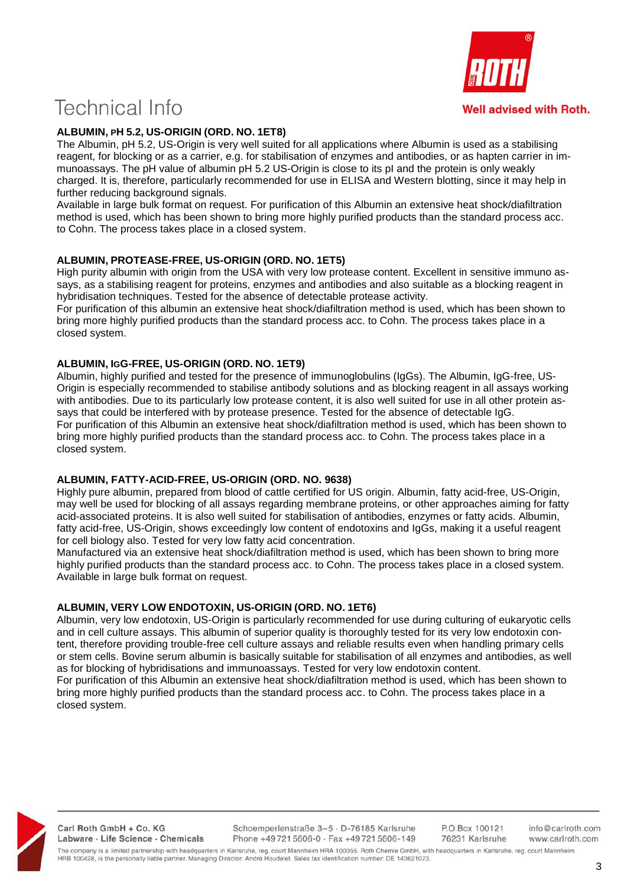### **ALBUMIN, PH 5.2, US-ORIGIN (ORD. NO. 1ET8)**

The Albumin, pH 5.2, US-Origin is very well suited for all applications where Albumin is used as a stabilising reagent, for blocking or as a carrier, e.g. for stabilisation of enzymes and antibodies, or as hapten carrier in immunoassays. The pH value of albumin pH 5.2 US-Origin is close to its pI and the protein is only weakly charged. It is, therefore, particularly recommended for use in ELISA and Western blotting, since it may help in further reducing background signals.

Available in large bulk format on request. For purification of this Albumin an extensive heat shock/diafiltration method is used, which has been shown to bring more highly purified products than the standard process acc. to Cohn. The process takes place in a closed system.

### **ALBUMIN, PROTEASE-FREE, US-ORIGIN (ORD. NO. 1ET5)**

High purity albumin with origin from the USA with very low protease content. Excellent in sensitive immuno assays, as a stabilising reagent for proteins, enzymes and antibodies and also suitable as a blocking reagent in hybridisation techniques. Tested for the absence of detectable protease activity.

For purification of this albumin an extensive heat shock/diafiltration method is used, which has been shown to bring more highly purified products than the standard process acc. to Cohn. The process takes place in a closed system.

#### **ALBUMIN, IGG-FREE, US-ORIGIN (ORD. NO. 1ET9)**

Albumin, highly purified and tested for the presence of immunoglobulins (IgGs). The Albumin, IgG-free, US-Origin is especially recommended to stabilise antibody solutions and as blocking reagent in all assays working with antibodies. Due to its particularly low protease content, it is also well suited for use in all other protein assays that could be interfered with by protease presence. Tested for the absence of detectable IgG. For purification of this Albumin an extensive heat shock/diafiltration method is used, which has been shown to bring more highly purified products than the standard process acc. to Cohn. The process takes place in a closed system.

#### **ALBUMIN, FATTY-ACID-FREE, US-ORIGIN (ORD. NO. 9638)**

Highly pure albumin, prepared from blood of cattle certified for US origin. Albumin, fatty acid-free, US-Origin, may well be used for blocking of all assays regarding membrane proteins, or other approaches aiming for fatty acid-associated proteins. It is also well suited for stabilisation of antibodies, enzymes or fatty acids. Albumin, fatty acid-free, US-Origin, shows exceedingly low content of endotoxins and IgGs, making it a useful reagent for cell biology also. Tested for very low fatty acid concentration.

Manufactured via an extensive heat shock/diafiltration method is used, which has been shown to bring more highly purified products than the standard process acc. to Cohn. The process takes place in a closed system. Available in large bulk format on request.

## **ALBUMIN, VERY LOW ENDOTOXIN, US-ORIGIN (ORD. NO. 1ET6)**

Albumin, very low endotoxin, US-Origin is particularly recommended for use during culturing of eukaryotic cells and in cell culture assays. This albumin of superior quality is thoroughly tested for its very low endotoxin content, therefore providing trouble-free cell culture assays and reliable results even when handling primary cells or stem cells. Bovine serum albumin is basically suitable for stabilisation of all enzymes and antibodies, as well as for blocking of hybridisations and immunoassays. Tested for very low endotoxin content. For purification of this Albumin an extensive heat shock/diafiltration method is used, which has been shown to bring more highly purified products than the standard process acc. to Cohn. The process takes place in a



Carl Roth GmbH + Co. KG Labware · Life Science · Chemicals

closed system.

Schoemperlenstraße 3-5 · D-76185 Karlsruhe Phone +497215606-0 · Fax +497215606-149

P.O.Box 100121 76231 Karlsruhe

info@carlroth.com www.carlroth.com

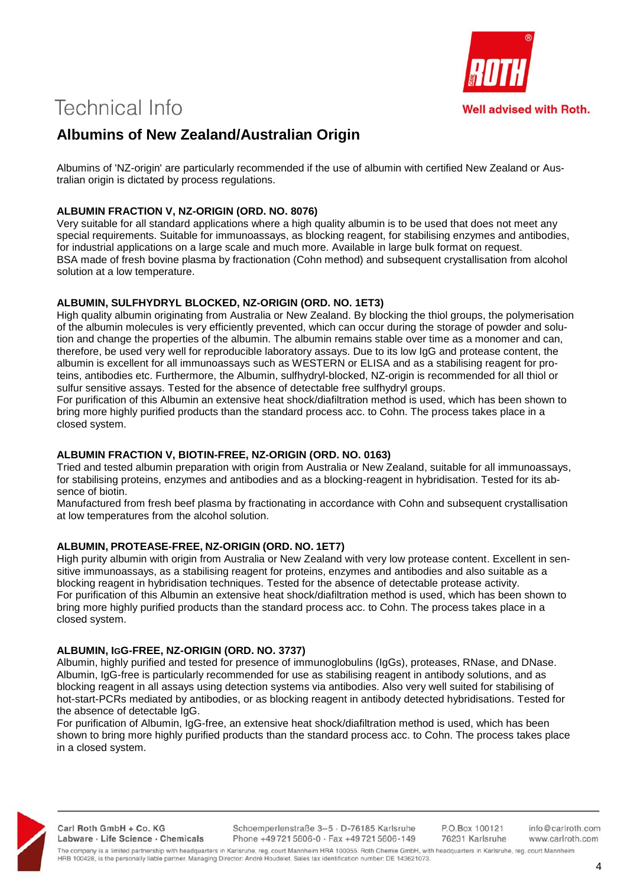

# **Albumins of New Zealand/Australian Origin**

Albumins of 'NZ-origin' are particularly recommended if the use of albumin with certified New Zealand or Australian origin is dictated by process regulations.

### **ALBUMIN FRACTION V, NZ-ORIGIN (ORD. NO. 8076)**

Very suitable for all standard applications where a high quality albumin is to be used that does not meet any special requirements. Suitable for immunoassays, as blocking reagent, for stabilising enzymes and antibodies, for industrial applications on a large scale and much more. Available in large bulk format on request. BSA made of fresh bovine plasma by fractionation (Cohn method) and subsequent crystallisation from alcohol solution at a low temperature.

### **ALBUMIN, SULFHYDRYL BLOCKED, NZ-ORIGIN (ORD. NO. 1ET3)**

High quality albumin originating from Australia or New Zealand. By blocking the thiol groups, the polymerisation of the albumin molecules is very efficiently prevented, which can occur during the storage of powder and solution and change the properties of the albumin. The albumin remains stable over time as a monomer and can, therefore, be used very well for reproducible laboratory assays. Due to its low IgG and protease content, the albumin is excellent for all immunoassays such as WESTERN or ELISA and as a stabilising reagent for proteins, antibodies etc. Furthermore, the Albumin, sulfhydryl-blocked, NZ-origin is recommended for all thiol or sulfur sensitive assays. Tested for the absence of detectable free sulfhydryl groups.

For purification of this Albumin an extensive heat shock/diafiltration method is used, which has been shown to bring more highly purified products than the standard process acc. to Cohn. The process takes place in a closed system.

#### **ALBUMIN FRACTION V, BIOTIN-FREE, NZ-ORIGIN (ORD. NO. 0163)**

Tried and tested albumin preparation with origin from Australia or New Zealand, suitable for all immunoassays, for stabilising proteins, enzymes and antibodies and as a blocking-reagent in hybridisation. Tested for its absence of biotin.

Manufactured from fresh beef plasma by fractionating in accordance with Cohn and subsequent crystallisation at low temperatures from the alcohol solution.

## **ALBUMIN, PROTEASE-FREE, NZ-ORIGIN (ORD. NO. 1ET7)**

High purity albumin with origin from Australia or New Zealand with very low protease content. Excellent in sensitive immunoassays, as a stabilising reagent for proteins, enzymes and antibodies and also suitable as a blocking reagent in hybridisation techniques. Tested for the absence of detectable protease activity. For purification of this Albumin an extensive heat shock/diafiltration method is used, which has been shown to bring more highly purified products than the standard process acc. to Cohn. The process takes place in a closed system.

### **ALBUMIN, IGG-FREE, NZ-ORIGIN (ORD. NO. 3737)**

Albumin, highly purified and tested for presence of immunoglobulins (IgGs), proteases, RNase, and DNase. Albumin, IgG-free is particularly recommended for use as stabilising reagent in antibody solutions, and as blocking reagent in all assays using detection systems via antibodies. Also very well suited for stabilising of hot-start-PCRs mediated by antibodies, or as blocking reagent in antibody detected hybridisations. Tested for the absence of detectable IgG.

For purification of Albumin, IgG-free, an extensive heat shock/diafiltration method is used, which has been shown to bring more highly purified products than the standard process acc. to Cohn. The process takes place in a closed system.



Carl Roth GmbH + Co. KG Labware · Life Science · Chemicals Schoemperlenstraße 3-5 · D-76185 Karlsruhe Phone +497215606-0 · Fax +497215606-149 P.O.Box 100121 76231 Karlsruhe

info@carlroth.com www.carlroth.com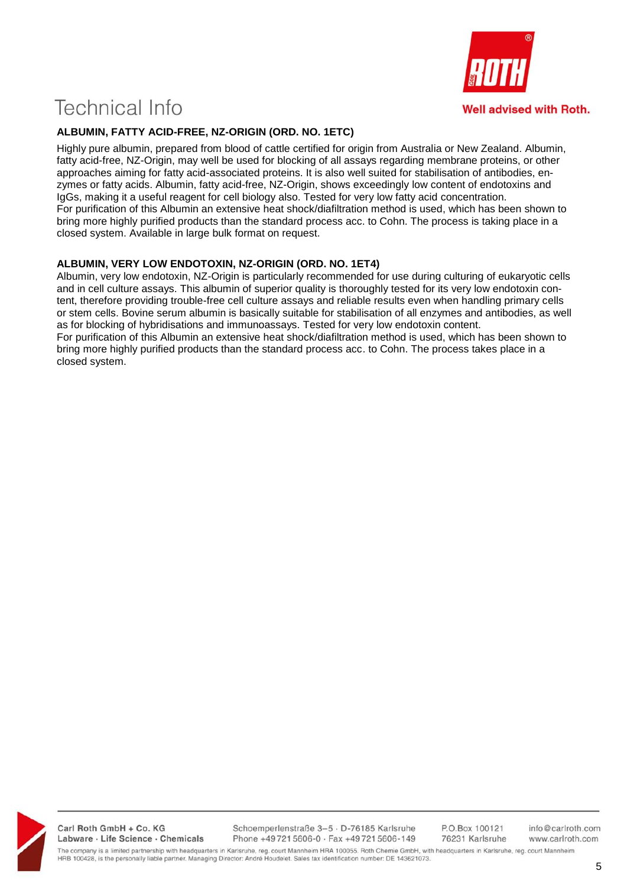

## **ALBUMIN, FATTY ACID-FREE, NZ-ORIGIN (ORD. NO. 1ETC)**

Highly pure albumin, prepared from blood of cattle certified for origin from Australia or New Zealand. Albumin, fatty acid-free, NZ-Origin, may well be used for blocking of all assays regarding membrane proteins, or other approaches aiming for fatty acid-associated proteins. It is also well suited for stabilisation of antibodies, enzymes or fatty acids. Albumin, fatty acid-free, NZ-Origin, shows exceedingly low content of endotoxins and IgGs, making it a useful reagent for cell biology also. Tested for very low fatty acid concentration. For purification of this Albumin an extensive heat shock/diafiltration method is used, which has been shown to bring more highly purified products than the standard process acc. to Cohn. The process is taking place in a closed system. Available in large bulk format on request.

## **ALBUMIN, VERY LOW ENDOTOXIN, NZ-ORIGIN (ORD. NO. 1ET4)**

Albumin, very low endotoxin, NZ-Origin is particularly recommended for use during culturing of eukaryotic cells and in cell culture assays. This albumin of superior quality is thoroughly tested for its very low endotoxin content, therefore providing trouble-free cell culture assays and reliable results even when handling primary cells or stem cells. Bovine serum albumin is basically suitable for stabilisation of all enzymes and antibodies, as well as for blocking of hybridisations and immunoassays. Tested for very low endotoxin content. For purification of this Albumin an extensive heat shock/diafiltration method is used, which has been shown to bring more highly purified products than the standard process acc. to Cohn. The process takes place in a closed system.



Carl Roth GmbH + Co. KG Labware · Life Science · Chemicals Schoemperlenstraße 3-5 · D-76185 Karlsruhe Phone +497215606-0 · Fax +497215606-149 info@carlroth.com www.carlroth.com